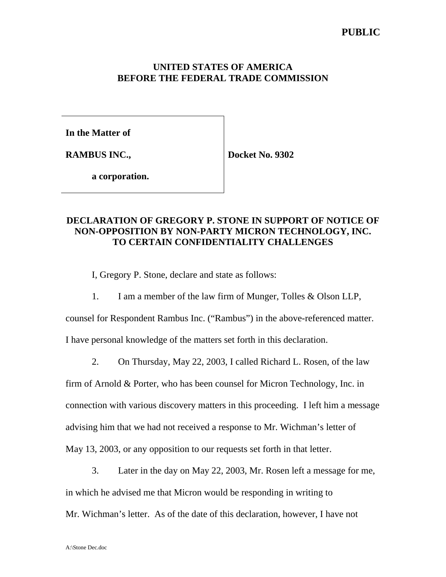# **PUBLIC**

#### **UNITED STATES OF AMERICA BEFORE THE FEDERAL TRADE COMMISSION**

**In the Matter of**

**RAMBUS INC.,**

**Docket No. 9302**

**a corporation.**

# **DECLARATION OF GREGORY P. STONE IN SUPPORT OF NOTICE OF NON-OPPOSITION BY NON-PARTY MICRON TECHNOLOGY, INC. TO CERTAIN CONFIDENTIALITY CHALLENGES**

I, Gregory P. Stone, declare and state as follows:

1. I am a member of the law firm of Munger, Tolles & Olson LLP,

counsel for Respondent Rambus Inc. ("Rambus") in the above-referenced matter.

I have personal knowledge of the matters set forth in this declaration.

2. On Thursday, May 22, 2003, I called Richard L. Rosen, of the law

firm of Arnold & Porter, who has been counsel for Micron Technology, Inc. in connection with various discovery matters in this proceeding. I left him a message advising him that we had not received a response to Mr. Wichman's letter of May 13, 2003, or any opposition to our requests set forth in that letter.

3. Later in the day on May 22, 2003, Mr. Rosen left a message for me,

in which he advised me that Micron would be responding in writing to

Mr. Wichman's letter. As of the date of this declaration, however, I have not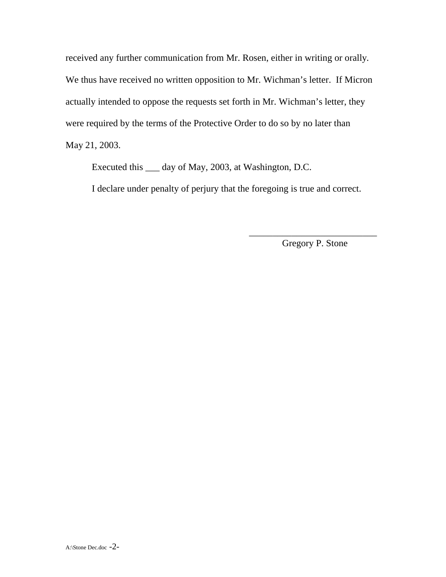received any further communication from Mr. Rosen, either in writing or orally. We thus have received no written opposition to Mr. Wichman's letter. If Micron actually intended to oppose the requests set forth in Mr. Wichman's letter, they were required by the terms of the Protective Order to do so by no later than May 21, 2003.

Executed this \_\_\_ day of May, 2003, at Washington, D.C.

I declare under penalty of perjury that the foregoing is true and correct.

\_\_\_\_\_\_\_\_\_\_\_\_\_\_\_\_\_\_\_\_\_\_\_\_\_\_\_ Gregory P. Stone